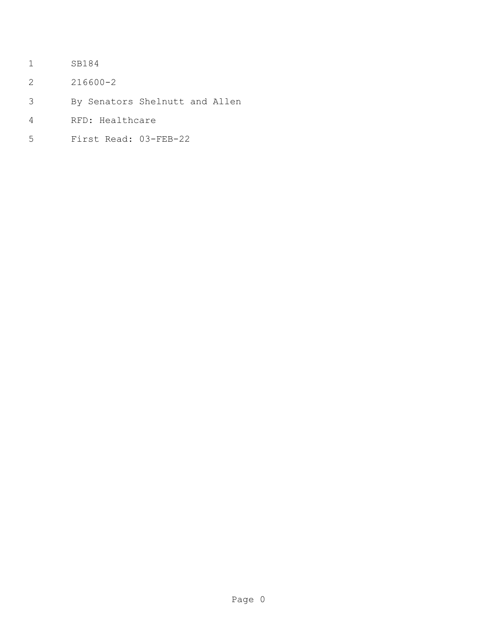- SB184
- 216600-2
- By Senators Shelnutt and Allen
- RFD: Healthcare
- First Read: 03-FEB-22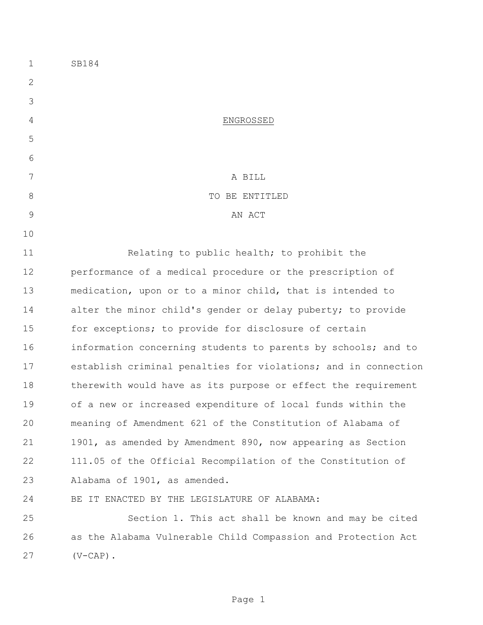SB184 ENGROSSED A BILL 8 STRIP TO BE ENTITLED 9 AN ACT Relating to public health; to prohibit the performance of a medical procedure or the prescription of medication, upon or to a minor child, that is intended to alter the minor child's gender or delay puberty; to provide for exceptions; to provide for disclosure of certain information concerning students to parents by schools; and to establish criminal penalties for violations; and in connection therewith would have as its purpose or effect the requirement of a new or increased expenditure of local funds within the meaning of Amendment 621 of the Constitution of Alabama of 1901, as amended by Amendment 890, now appearing as Section 111.05 of the Official Recompilation of the Constitution of Alabama of 1901, as amended. BE IT ENACTED BY THE LEGISLATURE OF ALABAMA: Section 1. This act shall be known and may be cited as the Alabama Vulnerable Child Compassion and Protection Act (V-CAP).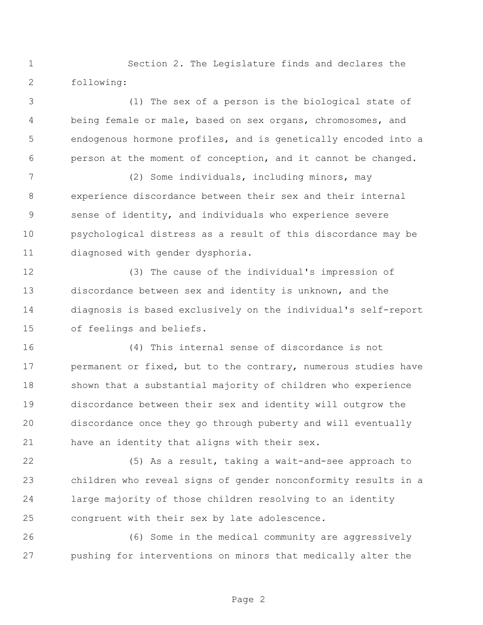Section 2. The Legislature finds and declares the following:

 (1) The sex of a person is the biological state of being female or male, based on sex organs, chromosomes, and endogenous hormone profiles, and is genetically encoded into a person at the moment of conception, and it cannot be changed.

 (2) Some individuals, including minors, may experience discordance between their sex and their internal sense of identity, and individuals who experience severe psychological distress as a result of this discordance may be diagnosed with gender dysphoria.

 (3) The cause of the individual's impression of discordance between sex and identity is unknown, and the diagnosis is based exclusively on the individual's self-report of feelings and beliefs.

 (4) This internal sense of discordance is not 17 permanent or fixed, but to the contrary, numerous studies have shown that a substantial majority of children who experience discordance between their sex and identity will outgrow the discordance once they go through puberty and will eventually have an identity that aligns with their sex.

 (5) As a result, taking a wait-and-see approach to children who reveal signs of gender nonconformity results in a large majority of those children resolving to an identity congruent with their sex by late adolescence.

 (6) Some in the medical community are aggressively pushing for interventions on minors that medically alter the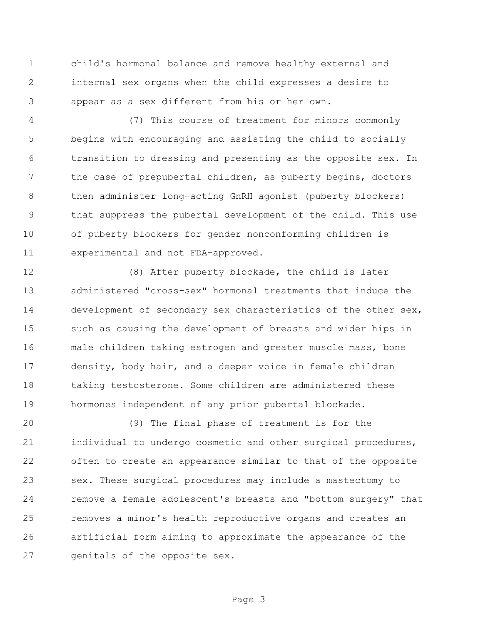child's hormonal balance and remove healthy external and internal sex organs when the child expresses a desire to appear as a sex different from his or her own.

 (7) This course of treatment for minors commonly begins with encouraging and assisting the child to socially transition to dressing and presenting as the opposite sex. In the case of prepubertal children, as puberty begins, doctors then administer long-acting GnRH agonist (puberty blockers) that suppress the pubertal development of the child. This use of puberty blockers for gender nonconforming children is experimental and not FDA-approved.

 (8) After puberty blockade, the child is later administered "cross-sex" hormonal treatments that induce the development of secondary sex characteristics of the other sex, such as causing the development of breasts and wider hips in male children taking estrogen and greater muscle mass, bone density, body hair, and a deeper voice in female children taking testosterone. Some children are administered these hormones independent of any prior pubertal blockade.

 (9) The final phase of treatment is for the 21 individual to undergo cosmetic and other surgical procedures, often to create an appearance similar to that of the opposite sex. These surgical procedures may include a mastectomy to remove a female adolescent's breasts and "bottom surgery" that removes a minor's health reproductive organs and creates an artificial form aiming to approximate the appearance of the genitals of the opposite sex.

Page 3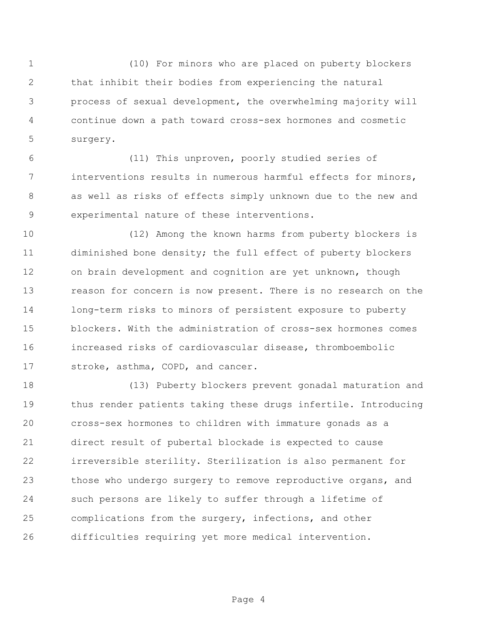(10) For minors who are placed on puberty blockers that inhibit their bodies from experiencing the natural process of sexual development, the overwhelming majority will continue down a path toward cross-sex hormones and cosmetic surgery.

 (11) This unproven, poorly studied series of interventions results in numerous harmful effects for minors, as well as risks of effects simply unknown due to the new and experimental nature of these interventions.

 (12) Among the known harms from puberty blockers is diminished bone density; the full effect of puberty blockers on brain development and cognition are yet unknown, though reason for concern is now present. There is no research on the long-term risks to minors of persistent exposure to puberty blockers. With the administration of cross-sex hormones comes increased risks of cardiovascular disease, thromboembolic 17 stroke, asthma, COPD, and cancer.

 (13) Puberty blockers prevent gonadal maturation and thus render patients taking these drugs infertile. Introducing cross-sex hormones to children with immature gonads as a direct result of pubertal blockade is expected to cause irreversible sterility. Sterilization is also permanent for those who undergo surgery to remove reproductive organs, and such persons are likely to suffer through a lifetime of complications from the surgery, infections, and other difficulties requiring yet more medical intervention.

Page 4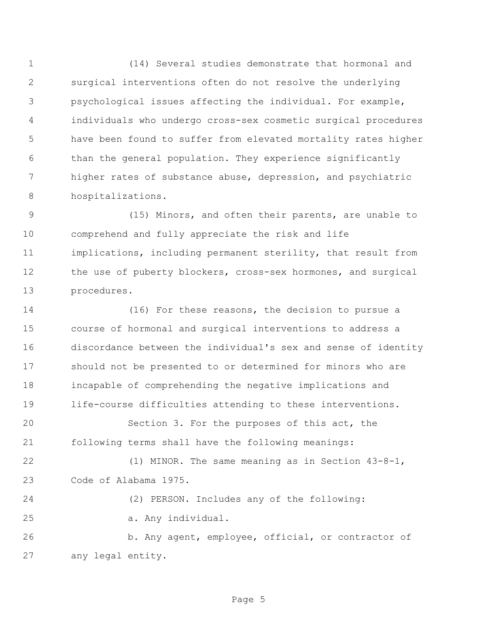(14) Several studies demonstrate that hormonal and surgical interventions often do not resolve the underlying psychological issues affecting the individual. For example, individuals who undergo cross-sex cosmetic surgical procedures have been found to suffer from elevated mortality rates higher than the general population. They experience significantly higher rates of substance abuse, depression, and psychiatric hospitalizations.

 (15) Minors, and often their parents, are unable to comprehend and fully appreciate the risk and life implications, including permanent sterility, that result from 12 the use of puberty blockers, cross-sex hormones, and surgical procedures.

 (16) For these reasons, the decision to pursue a course of hormonal and surgical interventions to address a discordance between the individual's sex and sense of identity should not be presented to or determined for minors who are incapable of comprehending the negative implications and life-course difficulties attending to these interventions.

 Section 3. For the purposes of this act, the following terms shall have the following meanings:

 (1) MINOR. The same meaning as in Section 43-8-1, Code of Alabama 1975.

 (2) PERSON. Includes any of the following: a. Any individual. b. Any agent, employee, official, or contractor of

```
27 any legal entity.
```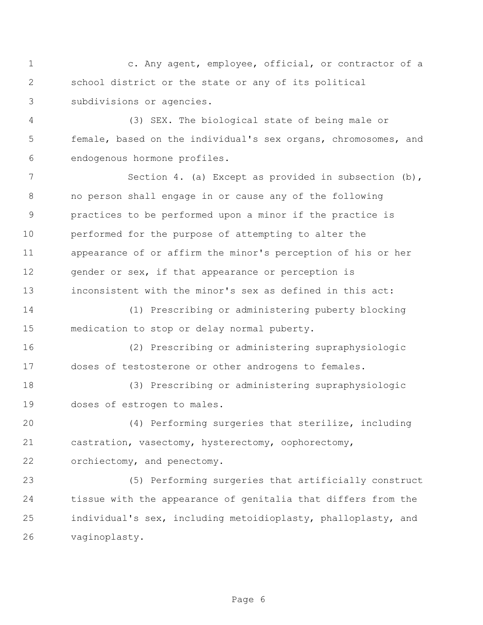c. Any agent, employee, official, or contractor of a school district or the state or any of its political subdivisions or agencies.

 (3) SEX. The biological state of being male or female, based on the individual's sex organs, chromosomes, and endogenous hormone profiles.

7 Section 4. (a) Except as provided in subsection (b), no person shall engage in or cause any of the following practices to be performed upon a minor if the practice is performed for the purpose of attempting to alter the appearance of or affirm the minor's perception of his or her 12 gender or sex, if that appearance or perception is inconsistent with the minor's sex as defined in this act:

 (1) Prescribing or administering puberty blocking medication to stop or delay normal puberty.

 (2) Prescribing or administering supraphysiologic doses of testosterone or other androgens to females.

 (3) Prescribing or administering supraphysiologic doses of estrogen to males.

 (4) Performing surgeries that sterilize, including castration, vasectomy, hysterectomy, oophorectomy, orchiectomy, and penectomy.

 (5) Performing surgeries that artificially construct tissue with the appearance of genitalia that differs from the individual's sex, including metoidioplasty, phalloplasty, and vaginoplasty.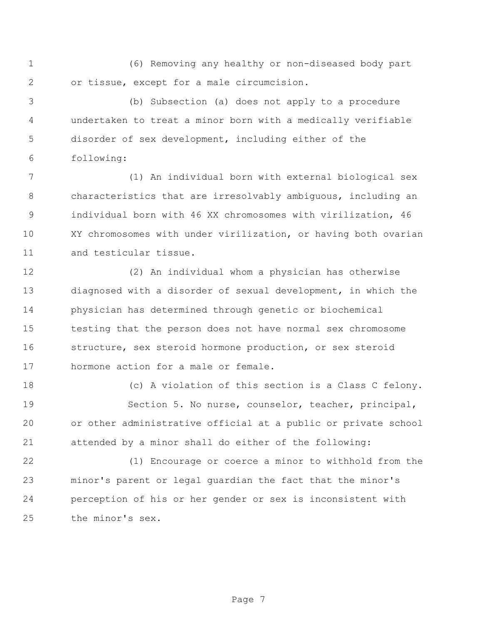(6) Removing any healthy or non-diseased body part or tissue, except for a male circumcision.

 (b) Subsection (a) does not apply to a procedure undertaken to treat a minor born with a medically verifiable disorder of sex development, including either of the following:

 (1) An individual born with external biological sex characteristics that are irresolvably ambiguous, including an individual born with 46 XX chromosomes with virilization, 46 XY chromosomes with under virilization, or having both ovarian and testicular tissue.

 (2) An individual whom a physician has otherwise diagnosed with a disorder of sexual development, in which the physician has determined through genetic or biochemical testing that the person does not have normal sex chromosome structure, sex steroid hormone production, or sex steroid hormone action for a male or female.

 (c) A violation of this section is a Class C felony. Section 5. No nurse, counselor, teacher, principal, or other administrative official at a public or private school attended by a minor shall do either of the following:

 (1) Encourage or coerce a minor to withhold from the minor's parent or legal guardian the fact that the minor's perception of his or her gender or sex is inconsistent with the minor's sex.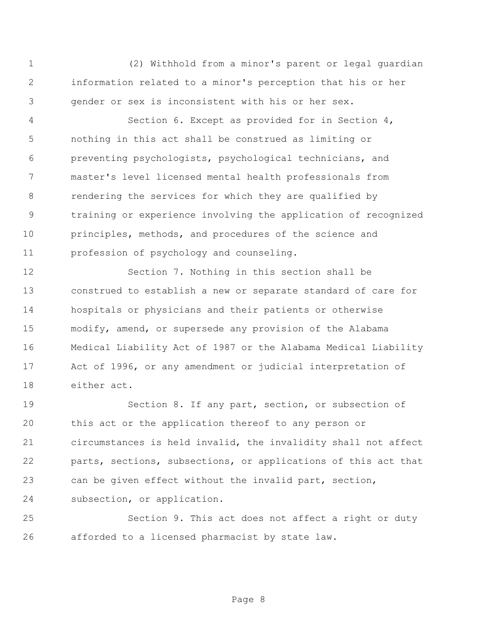(2) Withhold from a minor's parent or legal guardian information related to a minor's perception that his or her gender or sex is inconsistent with his or her sex.

 Section 6. Except as provided for in Section 4, nothing in this act shall be construed as limiting or preventing psychologists, psychological technicians, and master's level licensed mental health professionals from rendering the services for which they are qualified by training or experience involving the application of recognized principles, methods, and procedures of the science and profession of psychology and counseling.

 Section 7. Nothing in this section shall be construed to establish a new or separate standard of care for hospitals or physicians and their patients or otherwise modify, amend, or supersede any provision of the Alabama Medical Liability Act of 1987 or the Alabama Medical Liability Act of 1996, or any amendment or judicial interpretation of either act.

 Section 8. If any part, section, or subsection of this act or the application thereof to any person or circumstances is held invalid, the invalidity shall not affect parts, sections, subsections, or applications of this act that can be given effect without the invalid part, section, subsection, or application.

 Section 9. This act does not affect a right or duty afforded to a licensed pharmacist by state law.

Page 8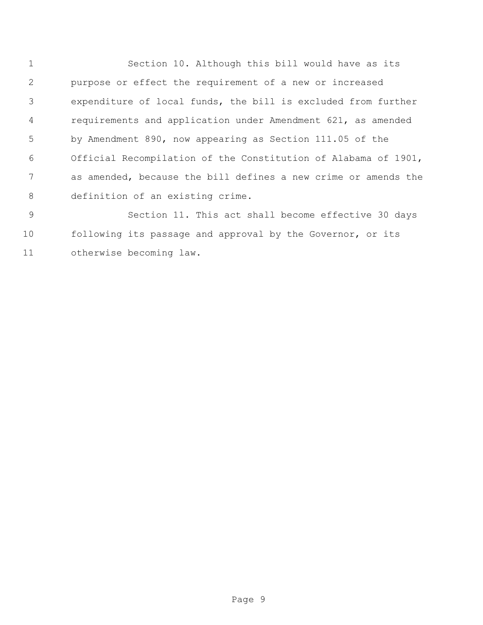Section 10. Although this bill would have as its purpose or effect the requirement of a new or increased expenditure of local funds, the bill is excluded from further requirements and application under Amendment 621, as amended by Amendment 890, now appearing as Section 111.05 of the Official Recompilation of the Constitution of Alabama of 1901, as amended, because the bill defines a new crime or amends the definition of an existing crime.

 Section 11. This act shall become effective 30 days following its passage and approval by the Governor, or its otherwise becoming law.